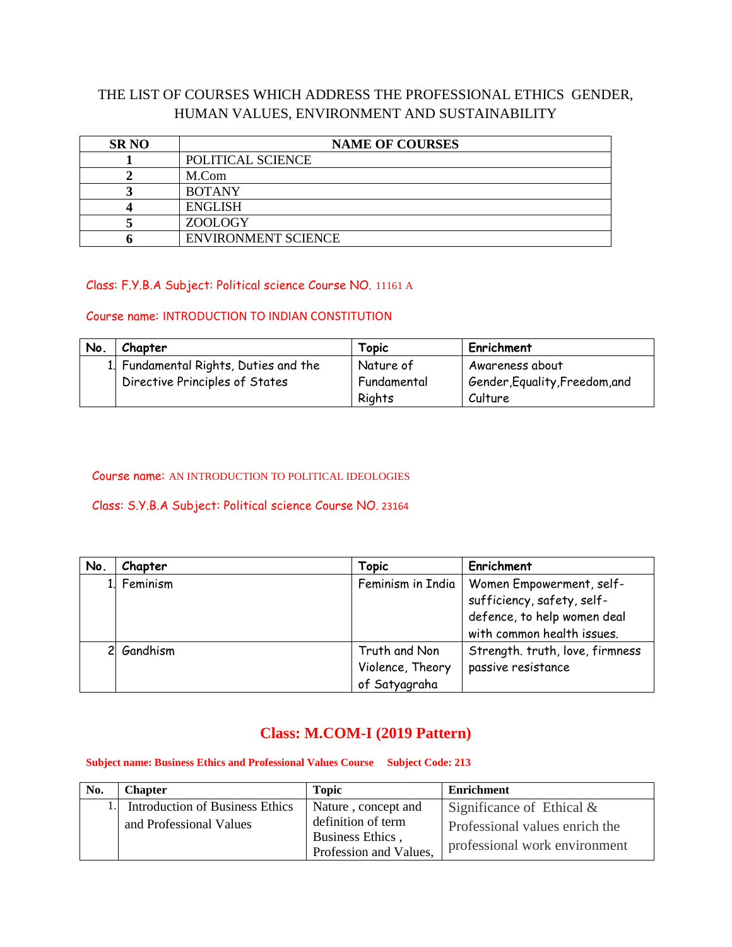### THE LIST OF COURSES WHICH ADDRESS THE PROFESSIONAL ETHICS GENDER, HUMAN VALUES, ENVIRONMENT AND SUSTAINABILITY

| <b>SR NO</b> | <b>NAME OF COURSES</b>     |  |
|--------------|----------------------------|--|
|              | POLITICAL SCIENCE          |  |
|              | M.Com                      |  |
|              | <b>BOTANY</b>              |  |
|              | <b>ENGLISH</b>             |  |
|              | ZOOLOGY                    |  |
|              | <b>ENVIRONMENT SCIENCE</b> |  |

#### Class: F.Y.B.A Subject: Political science Course NO. 11161 A

#### Course name: INTRODUCTION TO INDIAN CONSTITUTION

| No. | Chapter                               | Topic       | Enrichment                     |
|-----|---------------------------------------|-------------|--------------------------------|
|     | 1. Fundamental Rights, Duties and the | Nature of   | Awareness about                |
|     | Directive Principles of States        | Fundamental | Gender, Equality, Freedom, and |
|     |                                       | Rights      | Culture                        |

#### Course name: AN INTRODUCTION TO POLITICAL IDEOLOGIES

#### Class: S.Y.B.A Subject: Political science Course NO. 23164

| No. | Chapter  | <b>Topic</b>      | Enrichment                      |
|-----|----------|-------------------|---------------------------------|
|     | Feminism | Feminism in India | Women Empowerment, self-        |
|     |          |                   | sufficiency, safety, self-      |
|     |          |                   | defence, to help women deal     |
|     |          |                   | with common health issues.      |
|     | Gandhism | Truth and Non     | Strength. truth, love, firmness |
|     |          | Violence, Theory  | passive resistance              |
|     |          | of Satyagraha     |                                 |

### **Class: M.COM-I (2019 Pattern)**

#### **Subject name: Business Ethics and Professional Values Course Subject Code: 213**

| No. | <b>Chapter</b>                         | <b>Topic</b>                           | <b>Enrichment</b>              |
|-----|----------------------------------------|----------------------------------------|--------------------------------|
|     | <b>Introduction of Business Ethics</b> | Nature, concept and                    | Significance of Ethical $\&$   |
|     | and Professional Values                | definition of term<br>Business Ethics, | Professional values enrich the |
|     |                                        | Profession and Values,                 | professional work environment  |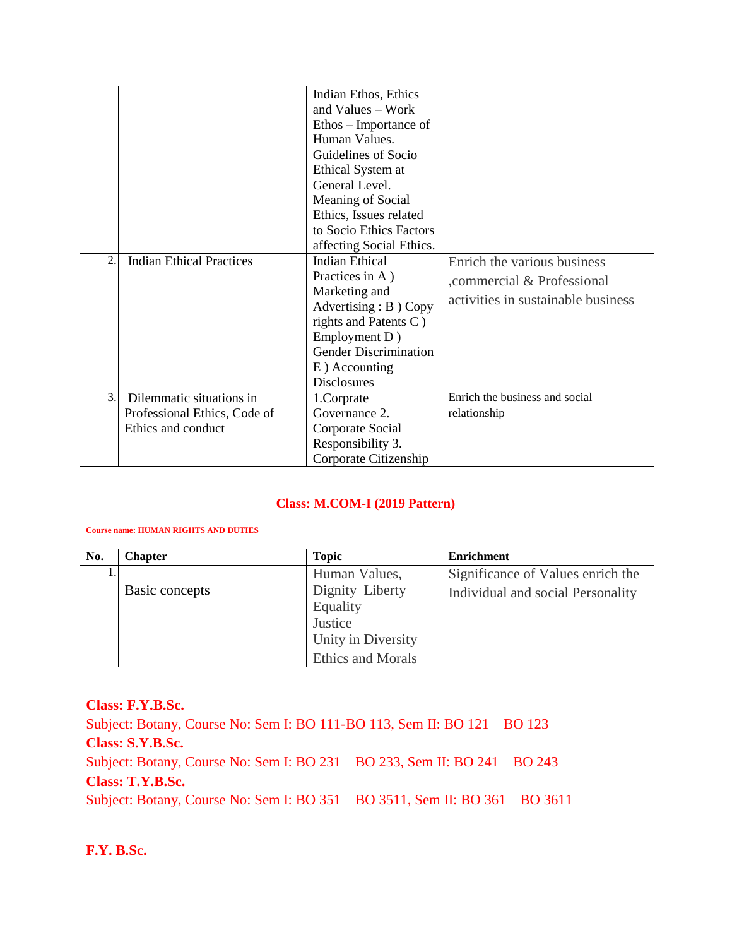|    |                                 | Indian Ethos, Ethics         |                                    |
|----|---------------------------------|------------------------------|------------------------------------|
|    |                                 | and Values – Work            |                                    |
|    |                                 | Ethos – Importance of        |                                    |
|    |                                 | Human Values.                |                                    |
|    |                                 | Guidelines of Socio          |                                    |
|    |                                 | Ethical System at            |                                    |
|    |                                 | General Level.               |                                    |
|    |                                 | Meaning of Social            |                                    |
|    |                                 | Ethics, Issues related       |                                    |
|    |                                 | to Socio Ethics Factors      |                                    |
|    |                                 | affecting Social Ethics.     |                                    |
| 2. | <b>Indian Ethical Practices</b> | <b>Indian Ethical</b>        | Enrich the various business        |
|    |                                 | Practices in A)              | commercial & Professional          |
|    |                                 | Marketing and                |                                    |
|    |                                 | Advertising : B ) Copy       | activities in sustainable business |
|    |                                 | rights and Patents C)        |                                    |
|    |                                 | Employment D)                |                                    |
|    |                                 | <b>Gender Discrimination</b> |                                    |
|    |                                 | E) Accounting                |                                    |
|    |                                 | <b>Disclosures</b>           |                                    |
| 3. | Dilemmatic situations in        | 1.Corprate                   | Enrich the business and social     |
|    | Professional Ethics, Code of    | Governance 2.                | relationship                       |
|    | Ethics and conduct              | Corporate Social             |                                    |
|    |                                 | Responsibility 3.            |                                    |
|    |                                 | Corporate Citizenship        |                                    |

#### **Class: M.COM-I (2019 Pattern)**

#### **Course name: HUMAN RIGHTS AND DUTIES**

| No. | <b>Chapter</b> | <b>Topic</b>             | <b>Enrichment</b>                 |
|-----|----------------|--------------------------|-----------------------------------|
|     |                | Human Values,            | Significance of Values enrich the |
|     | Basic concepts | Dignity Liberty          | Individual and social Personality |
|     |                | Equality                 |                                   |
|     |                | Justice                  |                                   |
|     |                | Unity in Diversity       |                                   |
|     |                | <b>Ethics and Morals</b> |                                   |

### **Class: F.Y.B.Sc.**

Subject: Botany, Course No: Sem I: BO 111-BO 113, Sem II: BO 121 – BO 123 **Class: S.Y.B.Sc.** Subject: Botany, Course No: Sem I: BO 231 – BO 233, Sem II: BO 241 – BO 243 **Class: T.Y.B.Sc.** Subject: Botany, Course No: Sem I: BO 351 – BO 3511, Sem II: BO 361 – BO 3611

#### **F.Y. B.Sc.**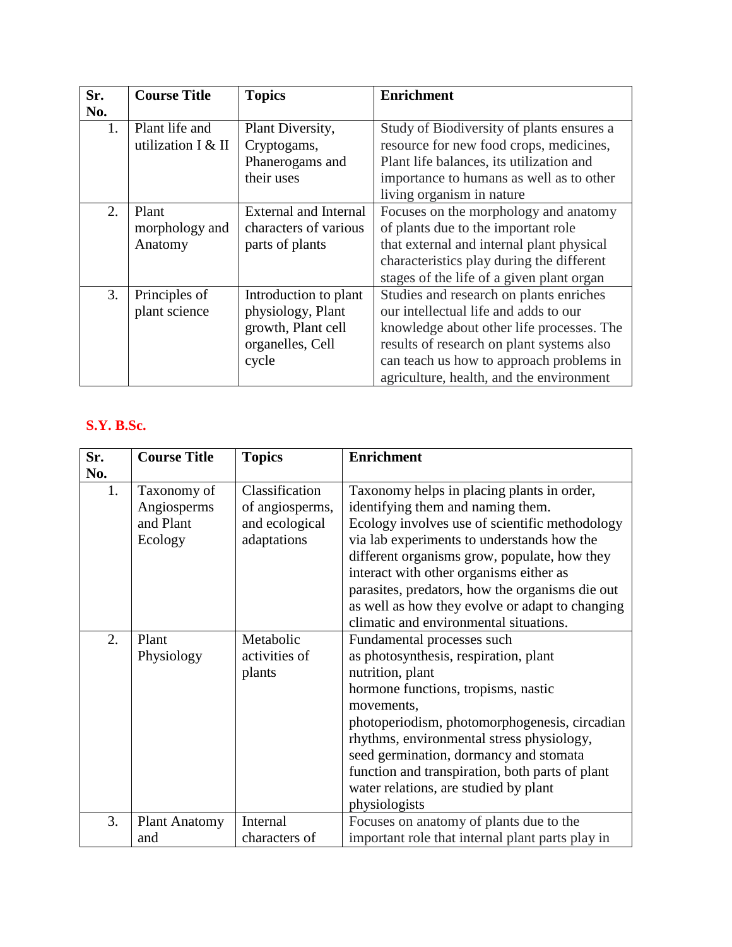| Sr. | <b>Course Title</b> | <b>Topics</b>                | <b>Enrichment</b>                         |
|-----|---------------------|------------------------------|-------------------------------------------|
| No. |                     |                              |                                           |
| 1.  | Plant life and      | Plant Diversity,             | Study of Biodiversity of plants ensures a |
|     | utilization I & II  | Cryptogams,                  | resource for new food crops, medicines,   |
|     |                     | Phanerogams and              | Plant life balances, its utilization and  |
|     |                     | their uses                   | importance to humans as well as to other  |
|     |                     |                              | living organism in nature                 |
| 2.  | Plant               | <b>External and Internal</b> | Focuses on the morphology and anatomy     |
|     | morphology and      | characters of various        | of plants due to the important role       |
|     | Anatomy             | parts of plants              | that external and internal plant physical |
|     |                     |                              | characteristics play during the different |
|     |                     |                              | stages of the life of a given plant organ |
| 3.  | Principles of       | Introduction to plant        | Studies and research on plants enriches   |
|     | plant science       | physiology, Plant            | our intellectual life and adds to our     |
|     |                     | growth, Plant cell           | knowledge about other life processes. The |
|     |                     | organelles, Cell             | results of research on plant systems also |
|     |                     | cycle                        | can teach us how to approach problems in  |
|     |                     |                              | agriculture, health, and the environment  |

# **S.Y. B.Sc.**

| Sr. | <b>Course Title</b>  | <b>Topics</b>   | <b>Enrichment</b>                                |  |
|-----|----------------------|-----------------|--------------------------------------------------|--|
| No. |                      |                 |                                                  |  |
| 1.  | Taxonomy of          | Classification  | Taxonomy helps in placing plants in order,       |  |
|     | Angiosperms          | of angiosperms, | identifying them and naming them.                |  |
|     | and Plant            | and ecological  | Ecology involves use of scientific methodology   |  |
|     | Ecology              | adaptations     | via lab experiments to understands how the       |  |
|     |                      |                 | different organisms grow, populate, how they     |  |
|     |                      |                 | interact with other organisms either as          |  |
|     |                      |                 | parasites, predators, how the organisms die out  |  |
|     |                      |                 | as well as how they evolve or adapt to changing  |  |
|     |                      |                 | climatic and environmental situations.           |  |
| 2.  | Plant                | Metabolic       | Fundamental processes such                       |  |
|     | Physiology           | activities of   | as photosynthesis, respiration, plant            |  |
|     |                      | plants          | nutrition, plant                                 |  |
|     |                      |                 | hormone functions, tropisms, nastic              |  |
|     |                      |                 | movements,                                       |  |
|     |                      |                 | photoperiodism, photomorphogenesis, circadian    |  |
|     |                      |                 | rhythms, environmental stress physiology,        |  |
|     |                      |                 | seed germination, dormancy and stomata           |  |
|     |                      |                 | function and transpiration, both parts of plant  |  |
|     |                      |                 | water relations, are studied by plant            |  |
|     |                      |                 | physiologists                                    |  |
| 3.  | <b>Plant Anatomy</b> | Internal        | Focuses on anatomy of plants due to the          |  |
|     | and                  | characters of   | important role that internal plant parts play in |  |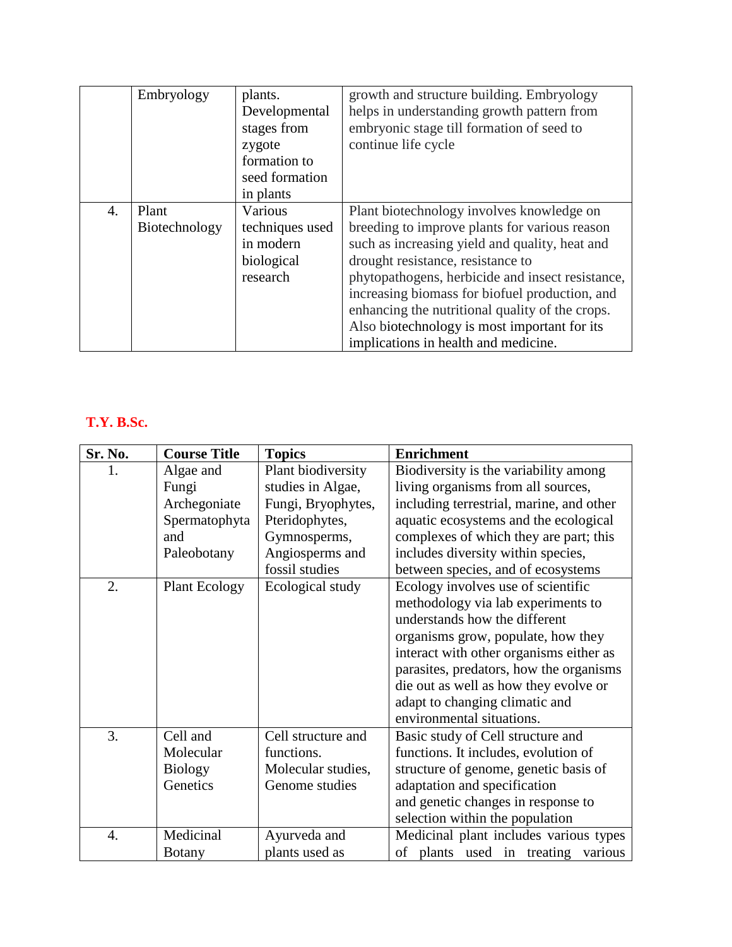|                  | Embryology    | plants.         | growth and structure building. Embryology        |
|------------------|---------------|-----------------|--------------------------------------------------|
|                  |               | Developmental   | helps in understanding growth pattern from       |
|                  |               | stages from     | embryonic stage till formation of seed to        |
|                  |               | zygote          | continue life cycle                              |
|                  |               | formation to    |                                                  |
|                  |               | seed formation  |                                                  |
|                  |               | in plants       |                                                  |
| $\overline{4}$ . | Plant         | Various         | Plant biotechnology involves knowledge on        |
|                  | Biotechnology | techniques used | breeding to improve plants for various reason    |
|                  |               | in modern       | such as increasing yield and quality, heat and   |
|                  |               | biological      | drought resistance, resistance to                |
|                  |               | research        | phytopathogens, herbicide and insect resistance, |
|                  |               |                 | increasing biomass for biofuel production, and   |
|                  |               |                 | enhancing the nutritional quality of the crops.  |
|                  |               |                 | Also biotechnology is most important for its     |
|                  |               |                 | implications in health and medicine.             |

# **T.Y. B.Sc.**

| Sr. No. | <b>Course Title</b>  | <b>Topics</b>      | <b>Enrichment</b>                        |
|---------|----------------------|--------------------|------------------------------------------|
| 1.      | Algae and            | Plant biodiversity | Biodiversity is the variability among    |
|         | Fungi                | studies in Algae,  | living organisms from all sources,       |
|         | Archegoniate         | Fungi, Bryophytes, | including terrestrial, marine, and other |
|         | Spermatophyta        | Pteridophytes,     | aquatic ecosystems and the ecological    |
|         | and                  | Gymnosperms,       | complexes of which they are part; this   |
|         | Paleobotany          | Angiosperms and    | includes diversity within species,       |
|         |                      | fossil studies     | between species, and of ecosystems       |
| 2.      | <b>Plant Ecology</b> | Ecological study   | Ecology involves use of scientific       |
|         |                      |                    | methodology via lab experiments to       |
|         |                      |                    | understands how the different            |
|         |                      |                    | organisms grow, populate, how they       |
|         |                      |                    | interact with other organisms either as  |
|         |                      |                    | parasites, predators, how the organisms  |
|         |                      |                    | die out as well as how they evolve or    |
|         |                      |                    | adapt to changing climatic and           |
|         |                      |                    | environmental situations.                |
| 3.      | Cell and             | Cell structure and | Basic study of Cell structure and        |
|         | Molecular            | functions.         | functions. It includes, evolution of     |
|         | <b>Biology</b>       | Molecular studies, | structure of genome, genetic basis of    |
|         | Genetics             | Genome studies     | adaptation and specification             |
|         |                      |                    | and genetic changes in response to       |
|         |                      |                    | selection within the population          |
| 4.      | Medicinal            | Ayurveda and       | Medicinal plant includes various types   |
|         | <b>Botany</b>        | plants used as     | of plants used in treating<br>various    |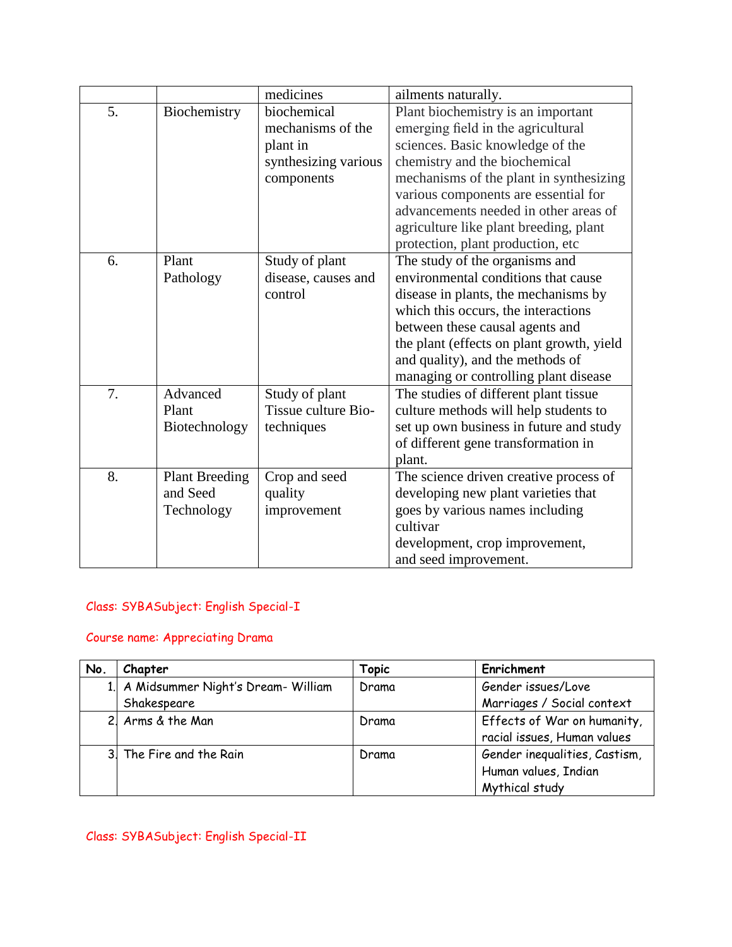|    |                       | medicines            | ailments naturally.                       |
|----|-----------------------|----------------------|-------------------------------------------|
| 5. | Biochemistry          | biochemical          | Plant biochemistry is an important        |
|    |                       | mechanisms of the    | emerging field in the agricultural        |
|    |                       | plant in             | sciences. Basic knowledge of the          |
|    |                       | synthesizing various | chemistry and the biochemical             |
|    |                       | components           | mechanisms of the plant in synthesizing   |
|    |                       |                      | various components are essential for      |
|    |                       |                      | advancements needed in other areas of     |
|    |                       |                      | agriculture like plant breeding, plant    |
|    |                       |                      | protection, plant production, etc         |
| 6. | Plant                 | Study of plant       | The study of the organisms and            |
|    | Pathology             | disease, causes and  | environmental conditions that cause       |
|    |                       | control              | disease in plants, the mechanisms by      |
|    |                       |                      | which this occurs, the interactions       |
|    |                       |                      | between these causal agents and           |
|    |                       |                      | the plant (effects on plant growth, yield |
|    |                       |                      | and quality), and the methods of          |
|    |                       |                      | managing or controlling plant disease     |
| 7. | Advanced              | Study of plant       | The studies of different plant tissue     |
|    | Plant                 | Tissue culture Bio-  | culture methods will help students to     |
|    | Biotechnology         | techniques           | set up own business in future and study   |
|    |                       |                      | of different gene transformation in       |
|    |                       |                      | plant.                                    |
| 8. | <b>Plant Breeding</b> | Crop and seed        | The science driven creative process of    |
|    | and Seed              | quality              | developing new plant varieties that       |
|    | Technology            | improvement          | goes by various names including           |
|    |                       |                      | cultivar                                  |
|    |                       |                      | development, crop improvement,            |
|    |                       |                      | and seed improvement.                     |

### Class: SYBASubject: English Special-I

#### Course name: Appreciating Drama

| No. | Chapter                               | Topic | Enrichment                    |
|-----|---------------------------------------|-------|-------------------------------|
|     | 1. A Midsummer Night's Dream- William | Drama | Gender issues/Love            |
|     | Shakespeare                           |       | Marriages / Social context    |
|     | 2. Arms & the Man                     | Drama | Effects of War on humanity,   |
|     |                                       |       | racial issues, Human values   |
|     | 3. The Fire and the Rain              | Drama | Gender inequalities, Castism, |
|     |                                       |       | Human values, Indian          |
|     |                                       |       | Mythical study                |

Class: SYBASubject: English Special-II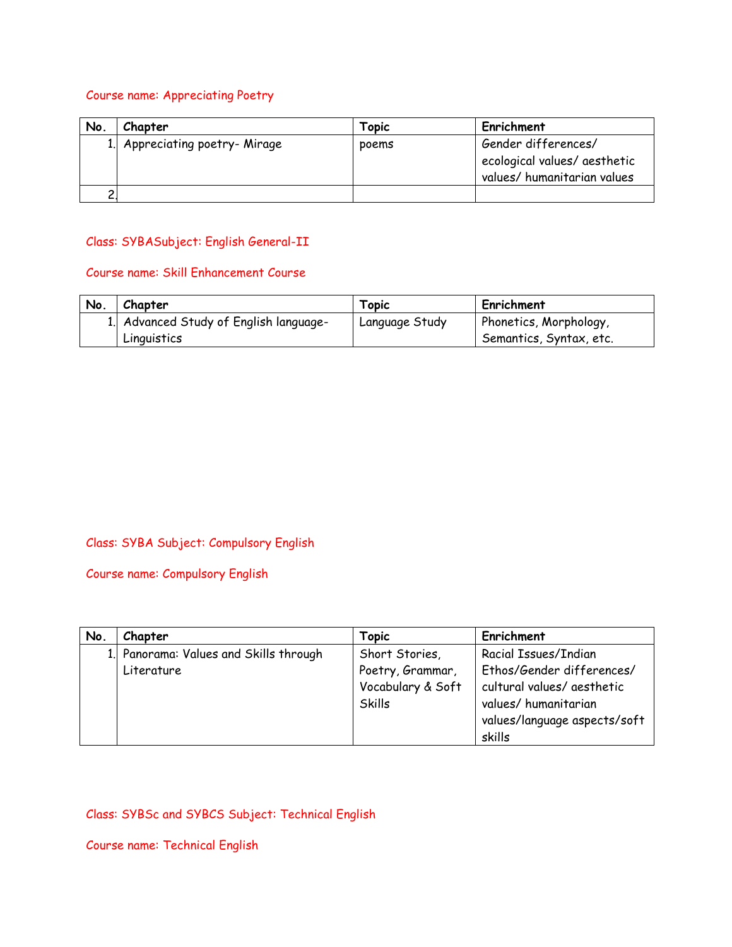#### Course name: Appreciating Poetry

| No. | Chapter                        | Topic | Enrichment                                                                         |
|-----|--------------------------------|-------|------------------------------------------------------------------------------------|
|     | 1. Appreciating poetry- Mirage | poems | Gender differences/<br>ecological values/ aesthetic<br>values/ humanitarian values |
|     |                                |       |                                                                                    |

#### Class: SYBASubject: English General-II

#### Course name: Skill Enhancement Course

| No. | Chapter                                | Topic          | Enrichment              |
|-----|----------------------------------------|----------------|-------------------------|
|     | 1. Advanced Study of English language- | Language Study | Phonetics, Morphology,  |
|     | Linguistics                            |                | Semantics, Syntax, etc. |

#### Class: SYBA Subject: Compulsory English

Course name: Compulsory English

| No. | Chapter                                | Topic             | Enrichment                   |
|-----|----------------------------------------|-------------------|------------------------------|
|     | 1. Panorama: Values and Skills through | Short Stories,    | Racial Issues/Indian         |
|     | Literature                             | Poetry, Grammar,  | Ethos/Gender differences/    |
|     |                                        | Vocabulary & Soft | cultural values/ aesthetic   |
|     |                                        | Skills            | values/humanitarian          |
|     |                                        |                   | values/language aspects/soft |
|     |                                        |                   | skills                       |

### Class: SYBSc and SYBCS Subject: Technical English

Course name: Technical English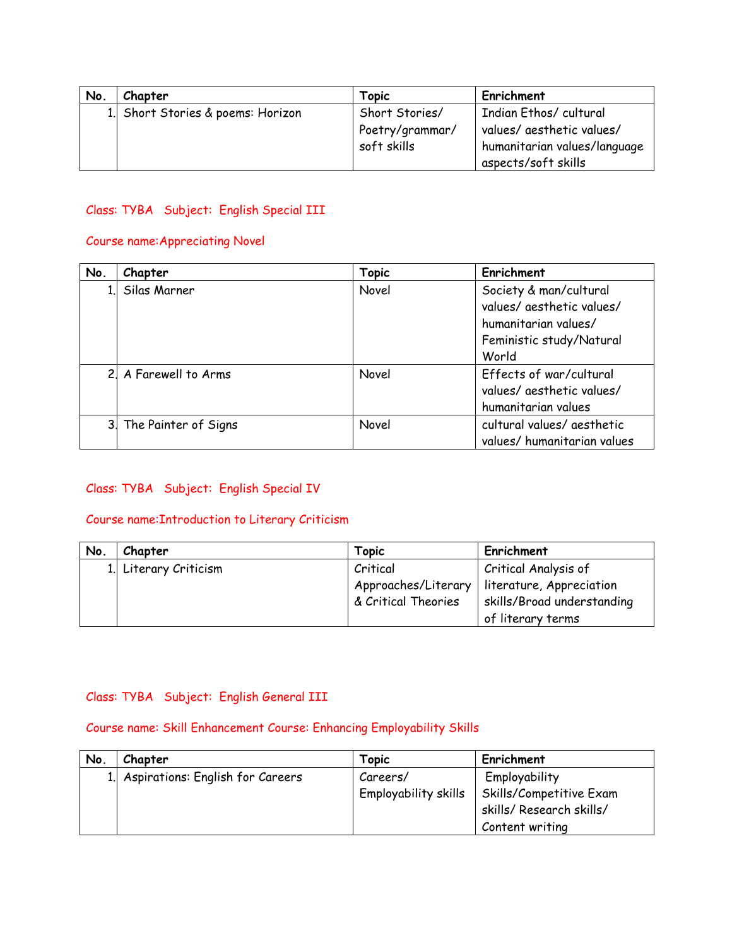| No. | Chapter                           | Topic           | Enrichment                   |
|-----|-----------------------------------|-----------------|------------------------------|
|     | 1. Short Stories & poems: Horizon | Short Stories/  | Indian Ethos/cultural        |
|     |                                   | Poetry/grammar/ | values/ aesthetic values/    |
|     |                                   | soft skills     | humanitarian values/language |
|     |                                   |                 | aspects/soft skills          |

#### Class: TYBA Subject: English Special III

#### Course name:Appreciating Novel

| No.            | Chapter              | <b>Topic</b> | Enrichment                  |
|----------------|----------------------|--------------|-----------------------------|
| 1 <sup>1</sup> | Silas Marner         | Novel        | Society & man/cultural      |
|                |                      |              | values/ aesthetic values/   |
|                |                      |              | humanitarian values/        |
|                |                      |              | Feministic study/Natural    |
|                |                      |              | World                       |
|                | 2 A Farewell to Arms | Novel        | Effects of war/cultural     |
|                |                      |              | values/ aesthetic values/   |
|                |                      |              | humanitarian values         |
| 3.             | The Painter of Signs | Novel        | cultural values/ aesthetic  |
|                |                      |              | values/ humanitarian values |

#### Class: TYBA Subject: English Special IV

#### Course name:Introduction to Literary Criticism

| No. | Chapter               | Topic               | Enrichment                 |
|-----|-----------------------|---------------------|----------------------------|
|     | 1. Literary Criticism | Critical            | Critical Analysis of       |
|     |                       | Approaches/Literary | literature, Appreciation   |
|     |                       | & Critical Theories | skills/Broad understanding |
|     |                       |                     | of literary terms          |

#### Class: TYBA Subject: English General III

#### Course name: Skill Enhancement Course: Enhancing Employability Skills

| No. | Chapter                             | Topic                | Enrichment               |
|-----|-------------------------------------|----------------------|--------------------------|
|     | 1. Aspirations: English for Careers | Careers/             | Employability            |
|     |                                     | Employability skills | Skills/Competitive Exam  |
|     |                                     |                      | skills/ Research skills/ |
|     |                                     |                      | Content writing          |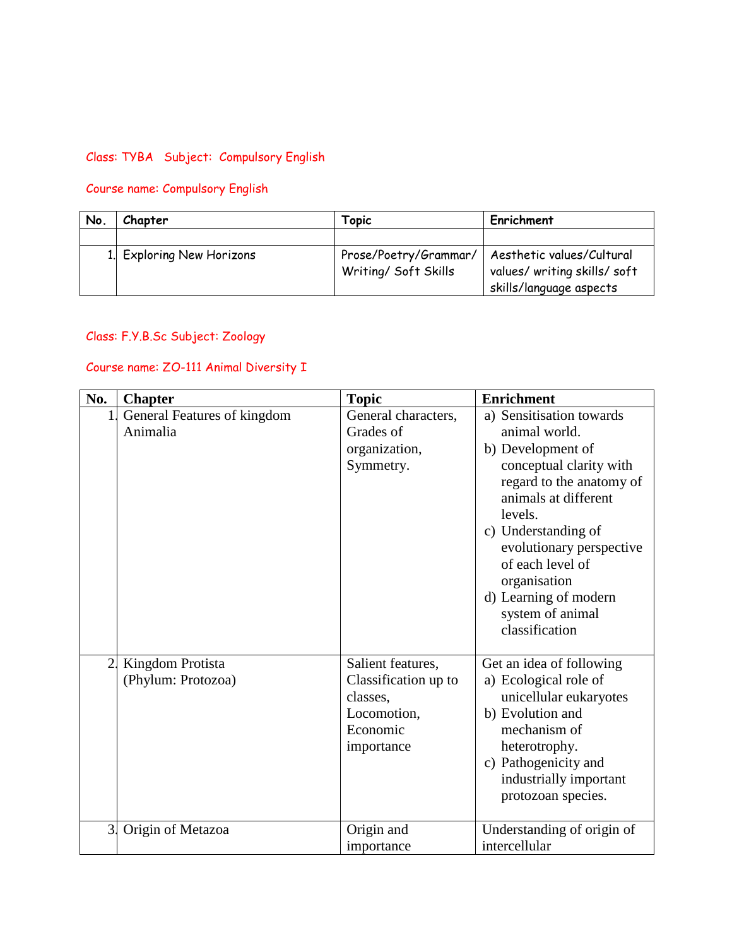### Class: TYBA Subject: Compulsory English

# Course name: Compulsory English

| No. | Chapter                   | Горіс                                         | Enrichment                                                                           |
|-----|---------------------------|-----------------------------------------------|--------------------------------------------------------------------------------------|
|     |                           |                                               |                                                                                      |
|     | 1. Exploring New Horizons | Prose/Poetry/Grammar/<br>Writing/ Soft Skills | Aesthetic values/Cultural<br>values/ writing skills/ soft<br>skills/language aspects |

#### Class: F.Y.B.Sc Subject: Zoology

#### Course name: ZO-111 Animal Diversity I

| No.              | <b>Chapter</b>                          | <b>Topic</b>                                                                                   | <b>Enrichment</b>                                                                                                                                                                                                                                                                                              |
|------------------|-----------------------------------------|------------------------------------------------------------------------------------------------|----------------------------------------------------------------------------------------------------------------------------------------------------------------------------------------------------------------------------------------------------------------------------------------------------------------|
| $\mathbf{1}$     | General Features of kingdom<br>Animalia | General characters,<br>Grades of<br>organization,<br>Symmetry.                                 | a) Sensitisation towards<br>animal world.<br>b) Development of<br>conceptual clarity with<br>regard to the anatomy of<br>animals at different<br>levels.<br>c) Understanding of<br>evolutionary perspective<br>of each level of<br>organisation<br>d) Learning of modern<br>system of animal<br>classification |
| $\overline{2}$ . | Kingdom Protista<br>(Phylum: Protozoa)  | Salient features,<br>Classification up to<br>classes,<br>Locomotion,<br>Economic<br>importance | Get an idea of following<br>a) Ecological role of<br>unicellular eukaryotes<br>b) Evolution and<br>mechanism of<br>heterotrophy.<br>c) Pathogenicity and<br>industrially important<br>protozoan species.                                                                                                       |
| 3                | Origin of Metazoa                       | Origin and<br>importance                                                                       | Understanding of origin of<br>intercellular                                                                                                                                                                                                                                                                    |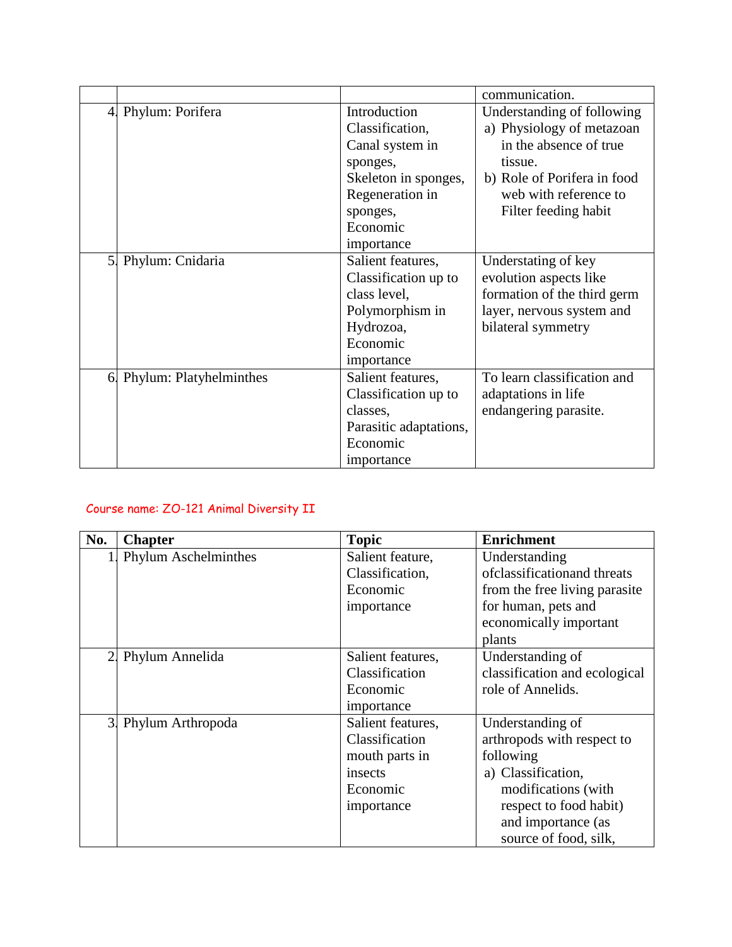|                |                         |                        | communication.              |
|----------------|-------------------------|------------------------|-----------------------------|
|                | 4. Phylum: Porifera     | Introduction           | Understanding of following  |
|                |                         | Classification,        | a) Physiology of metazoan   |
|                |                         | Canal system in        | in the absence of true      |
|                |                         | sponges,               | tissue.                     |
|                |                         | Skeleton in sponges,   | b) Role of Porifera in food |
|                |                         | Regeneration in        | web with reference to       |
|                |                         | sponges,               | Filter feeding habit        |
|                |                         | Economic               |                             |
|                |                         | importance             |                             |
| 5 <sub>l</sub> | Phylum: Cnidaria        | Salient features,      | Understating of key         |
|                |                         | Classification up to   | evolution aspects like      |
|                |                         | class level,           | formation of the third germ |
|                |                         | Polymorphism in        | layer, nervous system and   |
|                |                         | Hydrozoa,              | bilateral symmetry          |
|                |                         | Economic               |                             |
|                |                         | importance             |                             |
| 6.             | Phylum: Platyhelminthes | Salient features,      | To learn classification and |
|                |                         | Classification up to   | adaptations in life         |
|                |                         | classes,               | endangering parasite.       |
|                |                         | Parasitic adaptations, |                             |
|                |                         | Economic               |                             |
|                |                         | importance             |                             |

# Course name: ZO-121 Animal Diversity II

| No.            | <b>Chapter</b>       | <b>Topic</b>      | <b>Enrichment</b>             |
|----------------|----------------------|-------------------|-------------------------------|
| $\mathbf{1}$   | Phylum Aschelminthes | Salient feature,  | Understanding                 |
|                |                      | Classification,   | of classification and threats |
|                |                      | Economic          | from the free living parasite |
|                |                      | importance        | for human, pets and           |
|                |                      |                   | economically important        |
|                |                      |                   | plants                        |
| 2.             | Phylum Annelida      | Salient features, | Understanding of              |
|                |                      | Classification    | classification and ecological |
|                |                      | Economic          | role of Annelids.             |
|                |                      | importance        |                               |
| 3 <sub>l</sub> | Phylum Arthropoda    | Salient features, | Understanding of              |
|                |                      | Classification    | arthropods with respect to    |
|                |                      | mouth parts in    | following                     |
|                |                      | insects           | a) Classification,            |
|                |                      | Economic          | modifications (with           |
|                |                      | importance        | respect to food habit)        |
|                |                      |                   | and importance (as            |
|                |                      |                   | source of food, silk,         |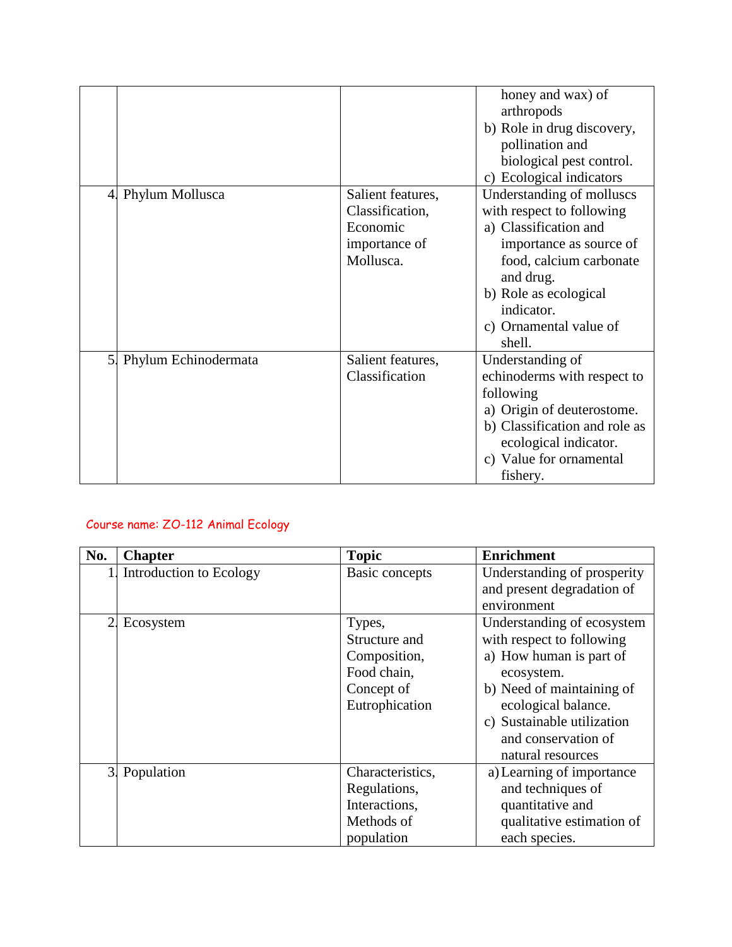|                            |                                                                                | honey and wax) of<br>arthropods<br>b) Role in drug discovery,<br>pollination and<br>biological pest control.                                                                                                                  |
|----------------------------|--------------------------------------------------------------------------------|-------------------------------------------------------------------------------------------------------------------------------------------------------------------------------------------------------------------------------|
|                            |                                                                                | c) Ecological indicators                                                                                                                                                                                                      |
| 4. Phylum Mollusca         | Salient features,<br>Classification,<br>Economic<br>importance of<br>Mollusca. | Understanding of molluscs<br>with respect to following<br>a) Classification and<br>importance as source of<br>food, calcium carbonate<br>and drug.<br>b) Role as ecological<br>indicator.<br>c) Ornamental value of<br>shell. |
| 5.<br>Phylum Echinodermata | Salient features,<br>Classification                                            | Understanding of<br>echinoderms with respect to<br>following<br>a) Origin of deuterostome.<br>b) Classification and role as<br>ecological indicator.<br>c) Value for ornamental<br>fishery.                                   |

# Course name: ZO-112 Animal Ecology

| No. | <b>Chapter</b>          | <b>Topic</b>                                                                           | <b>Enrichment</b>                                                                                                                                                                                                              |
|-----|-------------------------|----------------------------------------------------------------------------------------|--------------------------------------------------------------------------------------------------------------------------------------------------------------------------------------------------------------------------------|
|     | Introduction to Ecology | Basic concepts                                                                         | Understanding of prosperity<br>and present degradation of<br>environment                                                                                                                                                       |
| 2.  | Ecosystem               | Types,<br>Structure and<br>Composition,<br>Food chain,<br>Concept of<br>Eutrophication | Understanding of ecosystem<br>with respect to following<br>a) How human is part of<br>ecosystem.<br>b) Need of maintaining of<br>ecological balance.<br>c) Sustainable utilization<br>and conservation of<br>natural resources |
|     | 3. Population           | Characteristics,<br>Regulations,<br>Interactions,<br>Methods of<br>population          | a) Learning of importance<br>and techniques of<br>quantitative and<br>qualitative estimation of<br>each species.                                                                                                               |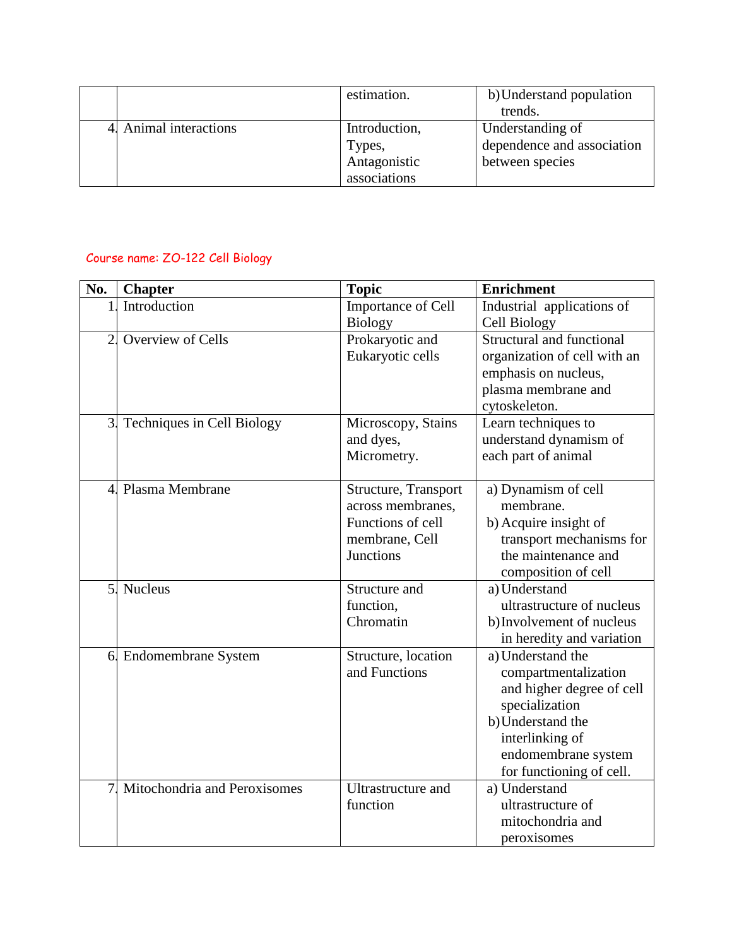|                        | estimation.   | b) Understand population   |
|------------------------|---------------|----------------------------|
|                        |               | trends.                    |
| 4. Animal interactions | Introduction, | Understanding of           |
|                        | Types,        | dependence and association |
|                        | Antagonistic  | between species            |
|                        | associations  |                            |

### Course name: ZO-122 Cell Biology

| No.            | <b>Chapter</b>                                        | <b>Topic</b>                                                           | <b>Enrichment</b>                                                                                                                                                                                                                                                                         |
|----------------|-------------------------------------------------------|------------------------------------------------------------------------|-------------------------------------------------------------------------------------------------------------------------------------------------------------------------------------------------------------------------------------------------------------------------------------------|
| 1              | Introduction                                          | Importance of Cell                                                     | Industrial applications of                                                                                                                                                                                                                                                                |
|                |                                                       | <b>Biology</b>                                                         | Cell Biology                                                                                                                                                                                                                                                                              |
| $\overline{2}$ | Overview of Cells                                     | Prokaryotic and                                                        | Structural and functional                                                                                                                                                                                                                                                                 |
|                |                                                       | Eukaryotic cells                                                       | organization of cell with an                                                                                                                                                                                                                                                              |
|                |                                                       |                                                                        | emphasis on nucleus,                                                                                                                                                                                                                                                                      |
|                |                                                       |                                                                        | plasma membrane and                                                                                                                                                                                                                                                                       |
|                |                                                       |                                                                        | cytoskeleton.                                                                                                                                                                                                                                                                             |
| 3.             | Techniques in Cell Biology                            | Microscopy, Stains                                                     | Learn techniques to                                                                                                                                                                                                                                                                       |
|                |                                                       | and dyes,                                                              | understand dynamism of                                                                                                                                                                                                                                                                    |
|                |                                                       | Micrometry.                                                            | each part of animal                                                                                                                                                                                                                                                                       |
|                | 4. Plasma Membrane                                    | Structure, Transport                                                   | a) Dynamism of cell                                                                                                                                                                                                                                                                       |
|                |                                                       | across membranes,                                                      | membrane.                                                                                                                                                                                                                                                                                 |
|                |                                                       | Functions of cell                                                      | b) Acquire insight of                                                                                                                                                                                                                                                                     |
|                |                                                       | membrane, Cell                                                         | transport mechanisms for                                                                                                                                                                                                                                                                  |
|                |                                                       | <b>Junctions</b>                                                       | the maintenance and                                                                                                                                                                                                                                                                       |
|                |                                                       |                                                                        | composition of cell                                                                                                                                                                                                                                                                       |
| 5.             | <b>Nucleus</b>                                        | Structure and                                                          | a) Understand                                                                                                                                                                                                                                                                             |
|                |                                                       | function,                                                              | ultrastructure of nucleus                                                                                                                                                                                                                                                                 |
|                |                                                       | Chromatin                                                              | b) Involvement of nucleus                                                                                                                                                                                                                                                                 |
|                |                                                       |                                                                        |                                                                                                                                                                                                                                                                                           |
|                |                                                       |                                                                        |                                                                                                                                                                                                                                                                                           |
|                |                                                       |                                                                        |                                                                                                                                                                                                                                                                                           |
|                |                                                       |                                                                        |                                                                                                                                                                                                                                                                                           |
|                |                                                       |                                                                        |                                                                                                                                                                                                                                                                                           |
|                |                                                       |                                                                        |                                                                                                                                                                                                                                                                                           |
|                |                                                       |                                                                        |                                                                                                                                                                                                                                                                                           |
|                |                                                       |                                                                        |                                                                                                                                                                                                                                                                                           |
|                |                                                       |                                                                        |                                                                                                                                                                                                                                                                                           |
|                |                                                       |                                                                        |                                                                                                                                                                                                                                                                                           |
|                |                                                       |                                                                        |                                                                                                                                                                                                                                                                                           |
|                |                                                       |                                                                        |                                                                                                                                                                                                                                                                                           |
| $\overline{7}$ | 6 Endomembrane System<br>Mitochondria and Peroxisomes | Structure, location<br>and Functions<br>Ultrastructure and<br>function | in heredity and variation<br>a) Understand the<br>compartmentalization<br>and higher degree of cell<br>specialization<br>b) Understand the<br>interlinking of<br>endomembrane system<br>for functioning of cell.<br>a) Understand<br>ultrastructure of<br>mitochondria and<br>peroxisomes |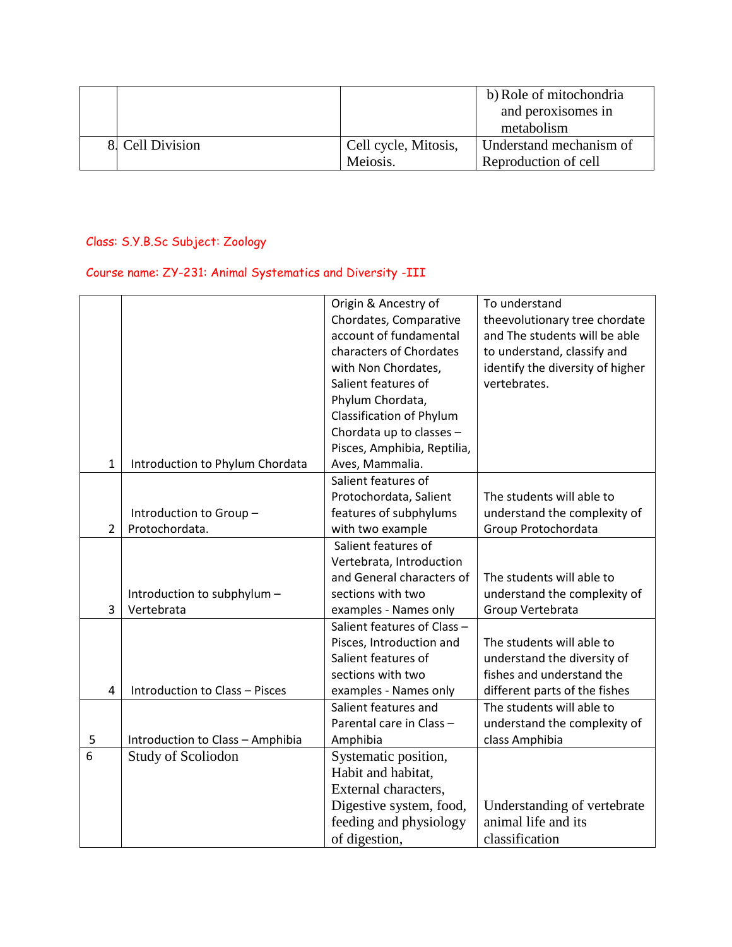|                  |                      | b) Role of mitochondria |
|------------------|----------------------|-------------------------|
|                  |                      | and peroxisomes in      |
|                  |                      | metabolism              |
| 8. Cell Division | Cell cycle, Mitosis, | Understand mechanism of |
|                  | Meiosis.             | Reproduction of cell    |

# Class: S.Y.B.Sc Subject: Zoology

# Course name: ZY-231: Animal Systematics and Diversity -III

|                |                                  | Origin & Ancestry of            | To understand                    |
|----------------|----------------------------------|---------------------------------|----------------------------------|
|                |                                  | Chordates, Comparative          | theevolutionary tree chordate    |
|                |                                  | account of fundamental          | and The students will be able    |
|                |                                  | characters of Chordates         | to understand, classify and      |
|                |                                  | with Non Chordates,             | identify the diversity of higher |
|                |                                  | Salient features of             | vertebrates.                     |
|                |                                  | Phylum Chordata,                |                                  |
|                |                                  | <b>Classification of Phylum</b> |                                  |
|                |                                  | Chordata up to classes -        |                                  |
|                |                                  | Pisces, Amphibia, Reptilia,     |                                  |
| $\mathbf{1}$   | Introduction to Phylum Chordata  | Aves, Mammalia.                 |                                  |
|                |                                  | Salient features of             |                                  |
|                |                                  | Protochordata, Salient          | The students will able to        |
|                | Introduction to Group-           | features of subphylums          | understand the complexity of     |
| $\overline{2}$ | Protochordata.                   | with two example                | Group Protochordata              |
|                |                                  | Salient features of             |                                  |
|                |                                  | Vertebrata, Introduction        |                                  |
|                |                                  | and General characters of       | The students will able to        |
|                | Introduction to subphylum -      | sections with two               | understand the complexity of     |
| 3              | Vertebrata                       | examples - Names only           | Group Vertebrata                 |
|                |                                  | Salient features of Class -     |                                  |
|                |                                  | Pisces, Introduction and        | The students will able to        |
|                |                                  | Salient features of             | understand the diversity of      |
|                |                                  | sections with two               | fishes and understand the        |
| 4              | Introduction to Class - Pisces   | examples - Names only           | different parts of the fishes    |
|                |                                  | Salient features and            | The students will able to        |
|                |                                  | Parental care in Class -        | understand the complexity of     |
| 5              | Introduction to Class - Amphibia | Amphibia                        | class Amphibia                   |
| 6              | Study of Scoliodon               | Systematic position,            |                                  |
|                |                                  | Habit and habitat,              |                                  |
|                |                                  | External characters,            |                                  |
|                |                                  | Digestive system, food,         | Understanding of vertebrate      |
|                |                                  | feeding and physiology          | animal life and its              |
|                |                                  | of digestion,                   | classification                   |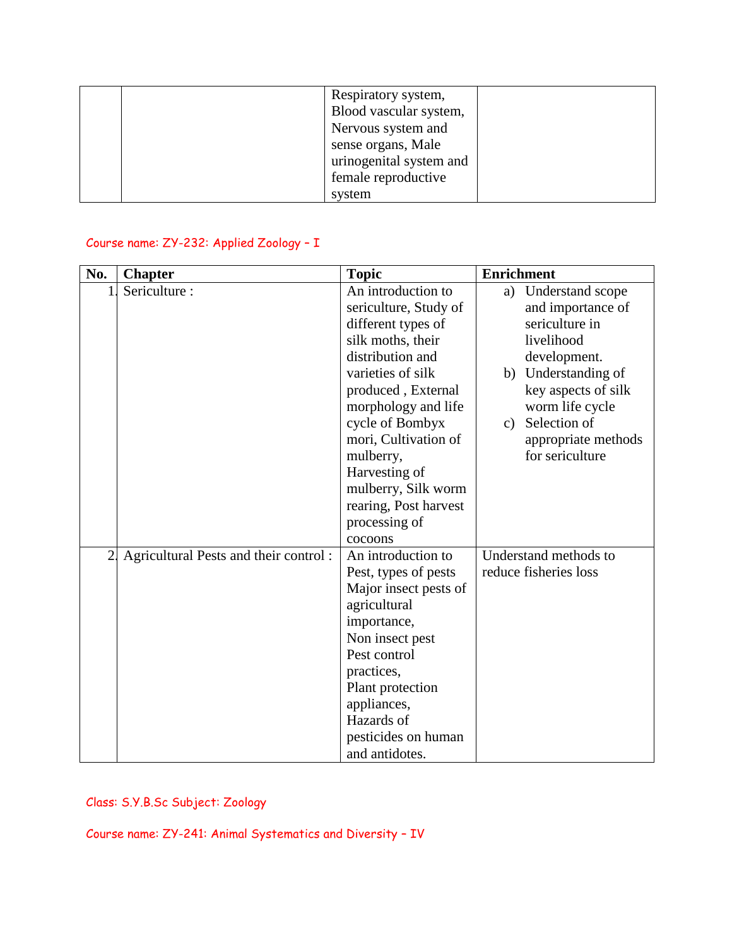| Respiratory system,     |
|-------------------------|
| Blood vascular system,  |
| Nervous system and      |
| sense organs, Male      |
| urinogenital system and |
| female reproductive     |
| system                  |

### Course name: ZY-232: Applied Zoology – I

| No.            | <b>Chapter</b>                        | <b>Topic</b>          | <b>Enrichment</b> |                       |
|----------------|---------------------------------------|-----------------------|-------------------|-----------------------|
| $\mathbf{1}$   | Sericulture:                          | An introduction to    | a)                | Understand scope      |
|                |                                       | sericulture, Study of |                   | and importance of     |
|                |                                       | different types of    |                   | sericulture in        |
|                |                                       | silk moths, their     |                   | livelihood            |
|                |                                       | distribution and      |                   | development.          |
|                |                                       | varieties of silk     |                   | b) Understanding of   |
|                |                                       | produced, External    |                   | key aspects of silk   |
|                |                                       | morphology and life   |                   | worm life cycle       |
|                |                                       | cycle of Bombyx       | $\mathbf{c}$ )    | Selection of          |
|                |                                       | mori, Cultivation of  |                   | appropriate methods   |
|                |                                       | mulberry,             |                   | for sericulture       |
|                |                                       | Harvesting of         |                   |                       |
|                |                                       | mulberry, Silk worm   |                   |                       |
|                |                                       | rearing, Post harvest |                   |                       |
|                |                                       | processing of         |                   |                       |
|                |                                       | cocoons               |                   |                       |
| 2 <sub>1</sub> | Agricultural Pests and their control: | An introduction to    |                   | Understand methods to |
|                |                                       | Pest, types of pests  |                   | reduce fisheries loss |
|                |                                       | Major insect pests of |                   |                       |
|                |                                       | agricultural          |                   |                       |
|                |                                       | importance,           |                   |                       |
|                |                                       | Non insect pest       |                   |                       |
|                |                                       | Pest control          |                   |                       |
|                |                                       | practices,            |                   |                       |
|                |                                       | Plant protection      |                   |                       |
|                |                                       | appliances,           |                   |                       |
|                |                                       | Hazards of            |                   |                       |
|                |                                       | pesticides on human   |                   |                       |
|                |                                       | and antidotes.        |                   |                       |

Class: S.Y.B.Sc Subject: Zoology

Course name: ZY-241: Animal Systematics and Diversity – IV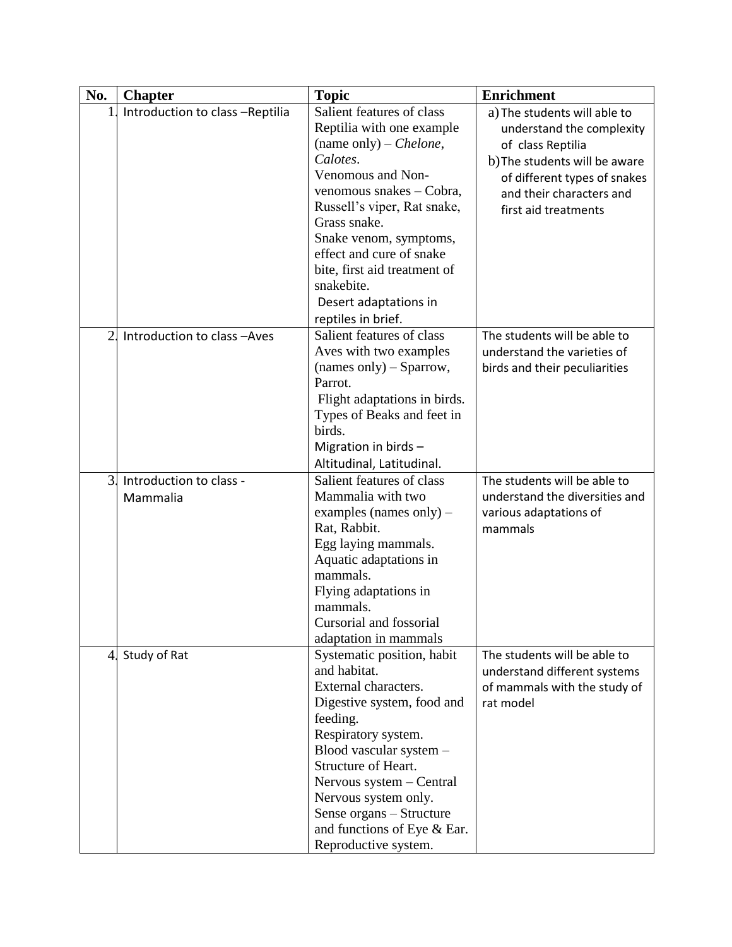| No.                 | <b>Chapter</b>                                                  | <b>Topic</b>                                                                                                                                                                                                                                                                                                                                                                         | <b>Enrichment</b>                                                                                                                                                                                                                   |
|---------------------|-----------------------------------------------------------------|--------------------------------------------------------------------------------------------------------------------------------------------------------------------------------------------------------------------------------------------------------------------------------------------------------------------------------------------------------------------------------------|-------------------------------------------------------------------------------------------------------------------------------------------------------------------------------------------------------------------------------------|
| 1<br>$\overline{2}$ | Introduction to class -Reptilia<br>Introduction to class - Aves | Salient features of class<br>Reptilia with one example<br>(name only) – <i>Chelone</i> ,<br>Calotes.<br>Venomous and Non-<br>venomous snakes - Cobra,<br>Russell's viper, Rat snake,<br>Grass snake.<br>Snake venom, symptoms,<br>effect and cure of snake<br>bite, first aid treatment of<br>snakebite.<br>Desert adaptations in<br>reptiles in brief.<br>Salient features of class | a) The students will able to<br>understand the complexity<br>of class Reptilia<br>b) The students will be aware<br>of different types of snakes<br>and their characters and<br>first aid treatments<br>The students will be able to |
|                     |                                                                 | Aves with two examples<br>$(names only) - Sparrow,$<br>Parrot.<br>Flight adaptations in birds.<br>Types of Beaks and feet in<br>birds.<br>Migration in birds -<br>Altitudinal, Latitudinal.                                                                                                                                                                                          | understand the varieties of<br>birds and their peculiarities                                                                                                                                                                        |
| $\overline{3}$ .    | Introduction to class -<br>Mammalia                             | Salient features of class<br>Mammalia with two<br>examples (names only) $-$<br>Rat, Rabbit.<br>Egg laying mammals.<br>Aquatic adaptations in<br>mammals.<br>Flying adaptations in<br>mammals.<br>Cursorial and fossorial<br>adaptation in mammals                                                                                                                                    | The students will be able to<br>understand the diversities and<br>various adaptations of<br>mammals                                                                                                                                 |
| 4.                  | Study of Rat                                                    | Systematic position, habit<br>and habitat.<br>External characters.<br>Digestive system, food and<br>feeding.<br>Respiratory system.<br>Blood vascular system -<br>Structure of Heart.<br>Nervous system - Central<br>Nervous system only.<br>Sense organs - Structure<br>and functions of Eye & Ear.<br>Reproductive system.                                                         | The students will be able to<br>understand different systems<br>of mammals with the study of<br>rat model                                                                                                                           |